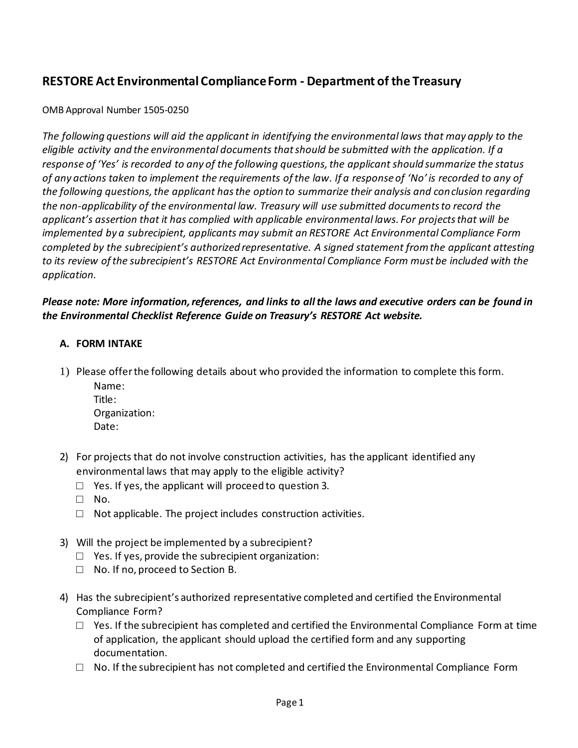# **RESTORE Act Environmental Compliance Form - Department of the Treasury**

OMB Approval Number 1505‐0250

*The following questions will aid the applicant in identifying the environmental laws that may apply to the eligible activity and the environmental documents that should be submitted with the application. If a response of 'Yes' is recorded to any of the following questions, the applicant should summarize the status of any actions taken to implement the requirements of the law. If a response of 'No' is recorded to any of the following questions, the applicant has the option to summarize their analysis and conclusion regarding the non-applicability of the environmental law. Treasury will use submitted documents to record the applicant's assertion that it has complied with applicable environmental laws. For projects that will be implemented by a subrecipient, applicants may submit an RESTORE Act Environmental Compliance Form completed by the subrecipient's authorized representative. A signed statement from the applicant attesting to its review of the subrecipient's RESTORE Act Environmental Compliance Form must be included with the application.* 

## *Please note: More information, references, and links to all the laws and executive orders can be found in the Environmental Checklist Reference Guide on Treasury's RESTORE Act website.*

## **A. FORM INTAKE**

- 1) Please offerthe following details about who provided the information to complete this form.
	- Name: Title: Organization: Date:
- 2) For projects that do not involve construction activities, has the applicant identified any environmental laws that may apply to the eligible activity?
	- $\Box$  Yes. If yes, the applicant will proceed to question 3.
	- □ No.
	- $\Box$  Not applicable. The project includes construction activities.
- 3) Will the project be implemented by a subrecipient?
	- □ Yes. If yes, provide the subrecipient organization:
	- □ No. If no, proceed to Section B.
- 4) Has the subrecipient's authorized representative completed and certified the Environmental Compliance Form?
	- $\Box$  Yes. If the subrecipient has completed and certified the Environmental Compliance Form at time of application, the applicant should upload the certified form and any supporting documentation.
	- $\Box$  No. If the subrecipient has not completed and certified the Environmental Compliance Form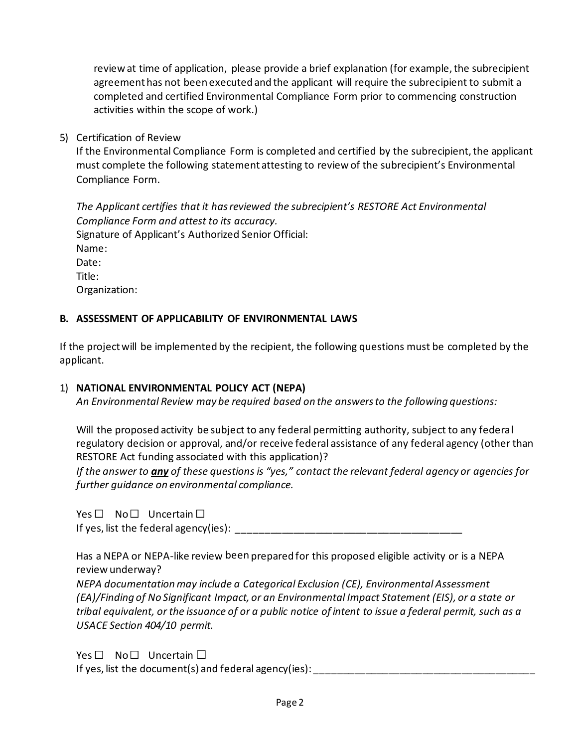review at time of application, please provide a brief explanation (for example, the subrecipient agreement has not been executed and the applicant will require the subrecipient to submit a completed and certified Environmental Compliance Form prior to commencing construction activities within the scope of work.)

5) Certification of Review

If the Environmental Compliance Form is completed and certified by the subrecipient, the applicant must complete the following statement attesting to review of the subrecipient's Environmental Compliance Form.

*The Applicant certifies that it has reviewed the subrecipient's RESTORE Act Environmental Compliance Form and attest to its accuracy.* Signature of Applicant's Authorized Senior Official: Name: Date: Title: Organization:

### **B. ASSESSMENT OF APPLICABILITY OF ENVIRONMENTAL LAWS**

If the project will be implemented by the recipient, the following questions must be completed by the applicant.

### 1) **NATIONAL ENVIRONMENTAL POLICY ACT (NEPA)**

*An Environmental Review may be required based on the answers to the following questions:*

Will the proposed activity be subject to any federal permitting authority, subject to any federal regulatory decision or approval, and/or receive federal assistance of any federal agency (other than RESTORE Act funding associated with this application)?

*If the answer to any of these questions is "yes," contact the relevant federal agency or agencies for further guidance on environmental compliance.* 

Yes □ No□ Uncertain □

If yes, list the federal agency(ies): \_\_\_\_\_\_\_\_\_\_\_\_\_\_\_\_\_\_\_\_\_\_\_\_\_\_\_\_\_\_\_\_\_\_\_\_\_\_\_\_

Has a NEPA or NEPA-like review been prepared for this proposed eligible activity or is a NEPA review underway?

*NEPA documentation may include a Categorical Exclusion (CE), Environmental Assessment (EA)/Finding of No Significant Impact, or an Environmental Impact Statement (EIS), or a state or tribal equivalent, or the issuance of or a public notice of intent to issue a federal permit, such as a USACE Section 404/10 permit.*

Yes □ No □ Uncertain □ If yes, list the document(s) and federal agency(ies): \_\_\_\_\_\_\_\_\_\_\_\_\_\_\_\_\_\_\_\_\_\_\_\_\_\_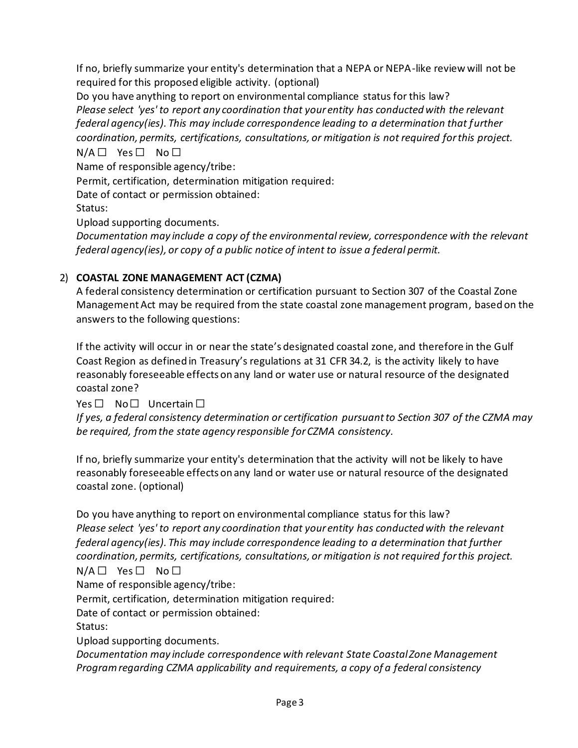If no, briefly summarize your entity's determination that a NEPA or NEPA-like review will not be required for this proposed eligible activity. (optional)

Do you have anything to report on environmental compliance status for this law? *Please select 'yes' to report any coordination that your entity has conducted with the relevant federal agency(ies). This may include correspondence leading to a determination that further coordination, permits, certifications, consultations, or mitigation is not required for this project.*  $N/A \Box$  Yes  $\Box$  No  $\Box$ 

Name of responsible agency/tribe:

Permit, certification, determination mitigation required:

Date of contact or permission obtained:

Status:

Upload supporting documents.

*Documentation may include a copy of the environmental review, correspondence with the relevant federal agency(ies), or copy of a public notice of intent to issue a federal permit.*

## 2) **COASTAL ZONE MANAGEMENT ACT (CZMA)**

A federal consistency determination or certification pursuant to Section 307 of the Coastal Zone Management Act may be required from the state coastal zone management program, based on the answers to the following questions:

If the activity will occur in or near the state's designated coastal zone, and therefore in the Gulf Coast Region as defined in Treasury's regulations at 31 CFR 34.2, is the activity likely to have reasonably foreseeable effects on any land or water use or natural resource of the designated coastal zone?

Yes □ No □ Uncertain □

*If yes, a federal consistency determination or certification pursuant to Section 307 of the CZMA may be required, from the state agency responsible for CZMA consistency.*

If no, briefly summarize your entity's determination that the activity will not be likely to have reasonably foreseeable effects on any land or water use or natural resource of the designated coastal zone. (optional)

Do you have anything to report on environmental compliance status for this law? *Please select 'yes' to report any coordination that your entity has conducted with the relevant federal agency(ies). This may include correspondence leading to a determination that further coordination, permits, certifications, consultations, or mitigation is not required for this project.*

N/A □ Yes □ No □

Name of responsible agency/tribe:

Permit, certification, determination mitigation required:

Date of contact or permission obtained:

Status:

Upload supporting documents.

*Documentation may include correspondence with relevant State Coastal Zone Management Program regarding CZMA applicability and requirements, a copy of a federal consistency*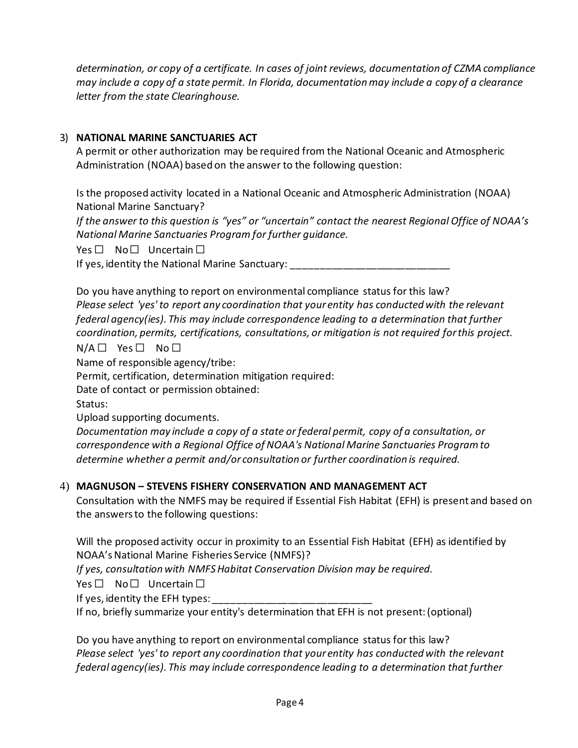*determination, or copy of a certificate. In cases of joint reviews, documentation of CZMA compliance may include a copy of a state permit. In Florida, documentation may include a copy of a clearance letter from the state Clearinghouse.*

## 3) **NATIONAL MARINE SANCTUARIES ACT**

A permit or other authorization may be required from the National Oceanic and Atmospheric Administration (NOAA) based on the answer to the following question:

Is the proposed activity located in a National Oceanic and Atmospheric Administration (NOAA) National Marine Sanctuary?

*If the answer to this question is "yes" or "uncertain" contact the nearest Regional Office of NOAA's National Marine Sanctuaries Program for further guidance.*

Yes □ No □ Uncertain □

If yes, identity the National Marine Sanctuary:

Do you have anything to report on environmental compliance status for this law? *Please select 'yes' to report any coordination that your entity has conducted with the relevant federal agency(ies). This may include correspondence leading to a determination that further coordination, permits, certifications, consultations, or mitigation is not required for this project.*  $N/A \Box$  Yes  $\Box$  No  $\Box$ 

Name of responsible agency/tribe:

Permit, certification, determination mitigation required:

Date of contact or permission obtained:

Status:

Upload supporting documents.

*Documentation may include a copy of a state or federal permit, copy of a consultation, or correspondence with a Regional Office of NOAA's National Marine Sanctuaries Program to determine whether a permit and/or consultation or further coordination is required.*

### 4) **MAGNUSON – STEVENS FISHERY CONSERVATION AND MANAGEMENT ACT**

Consultation with the NMFS may be required if Essential Fish Habitat (EFH) is present and based on the answers to the following questions:

Will the proposed activity occur in proximity to an Essential Fish Habitat (EFH) as identified by NOAA's National Marine Fisheries Service (NMFS)?

*If yes, consultation with NMFS Habitat Conservation Division may be required.*

Yes □ No □ Uncertain □

If yes, identity the EFH types:

If no, briefly summarize your entity's determination that EFH is not present:(optional)

Do you have anything to report on environmental compliance status for this law? *Please select 'yes' to report any coordination that your entity has conducted with the relevant federal agency(ies). This may include correspondence leading to a determination that further*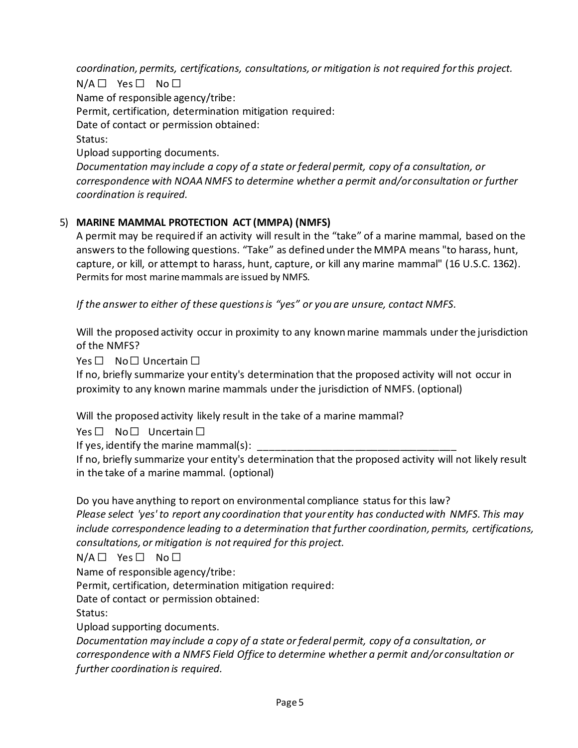*coordination, permits, certifications, consultations, or mitigation is not required for this project.*

 $N/A \Box$  Yes  $\Box$  No  $\Box$ Name of responsible agency/tribe: Permit, certification, determination mitigation required: Date of contact or permission obtained: Status: Upload supporting documents. *Documentation may include a copy of a state or federal permit, copy of a consultation, or correspondence with NOAA NMFS to determine whether a permit and/or consultation or further* 

5) **MARINE MAMMAL PROTECTION ACT (MMPA) (NMFS)** A permit may be required if an activity will result in the "take" of a marine mammal, based on the answers to the following questions. "Take" as defined under the MMPA means "to harass, hunt, capture, or kill, or attempt to harass, hunt, capture, or kill any marine mammal" (16 U.S.C. 1362). Permits for most marine mammals are issued by NMFS.

*If the answer to either of these questions is "yes" or you are unsure, contact NMFS.*

Will the proposed activity occur in proximity to any known marine mammals under the jurisdiction of the NMFS?

Yes □ No □ Uncertain □

*coordination is required.*

If no, briefly summarize your entity's determination that the proposed activity will not occur in proximity to any known marine mammals under the jurisdiction of NMFS. (optional)

Will the proposed activity likely result in the take of a marine mammal?

Yes □ No □ Uncertain □

If yes, identify the marine mammal(s):

If no, briefly summarize your entity's determination that the proposed activity will not likely result in the take of a marine mammal. (optional)

Do you have anything to report on environmental compliance status for this law?

*Please select 'yes' to report any coordination that your entity has conducted with NMFS. This may include correspondence leading to a determination that further coordination, permits, certifications, consultations, or mitigation is not required for this project.*

 $N/A \Box$  Yes  $\Box$  No  $\Box$ 

Name of responsible agency/tribe:

Permit, certification, determination mitigation required:

Date of contact or permission obtained:

Status:

Upload supporting documents.

*Documentation may include a copy of a state or federal permit, copy of a consultation, or correspondence with a NMFS Field Office to determine whether a permit and/or consultation or further coordination is required.*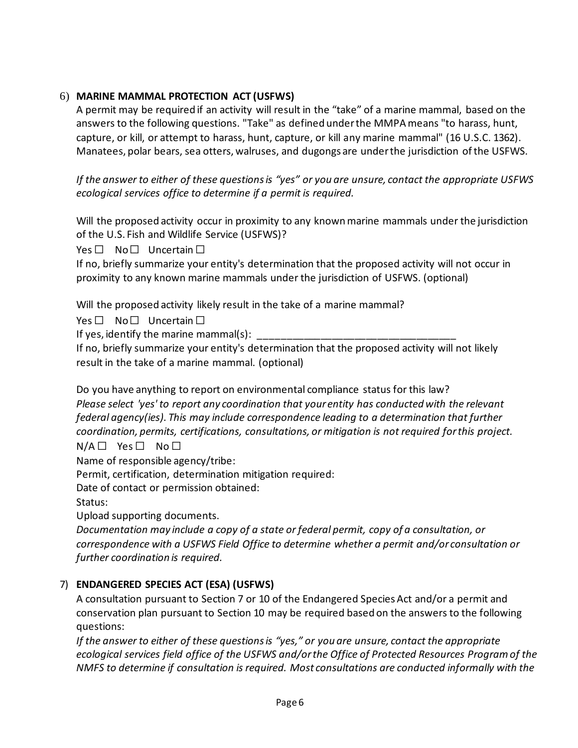# 6) **MARINE MAMMAL PROTECTION ACT (USFWS)**

A permit may be required if an activity will result in the "take" of a marine mammal, based on the answers to the following questions. "Take" as defined under the MMPA means "to harass, hunt, capture, or kill, or attempt to harass, hunt, capture, or kill any marine mammal" (16 U.S.C. 1362). Manatees, polar bears, sea otters, walruses, and dugongs are under the jurisdiction of the USFWS.

*If the answer to either of these questions is "yes" or you are unsure, contact the appropriate USFWS ecological services office to determine if a permit is required.*

Will the proposed activity occur in proximity to any known marine mammals under the jurisdiction of the U.S. Fish and Wildlife Service (USFWS)?

Yes □ No □ Uncertain □

If no, briefly summarize your entity's determination that the proposed activity will not occur in proximity to any known marine mammals under the jurisdiction of USFWS. (optional)

Will the proposed activity likely result in the take of a marine mammal?

Yes □ No □ Uncertain □

If yes, identify the marine mammal(s):

If no, briefly summarize your entity's determination that the proposed activity will not likely result in the take of a marine mammal. (optional)

Do you have anything to report on environmental compliance status for this law? *Please select 'yes' to report any coordination that your entity has conducted with the relevant federal agency(ies). This may include correspondence leading to a determination that further coordination, permits, certifications, consultations, or mitigation is not required for this project.*

N/A □ Yes □ No □

Name of responsible agency/tribe:

Permit, certification, determination mitigation required:

Date of contact or permission obtained:

Status:

Upload supporting documents.

*Documentation may include a copy of a state or federal permit, copy of a consultation, or correspondence with a USFWS Field Office to determine whether a permit and/or consultation or further coordination is required.*

# 7) **ENDANGERED SPECIES ACT (ESA) (USFWS)**

A consultation pursuant to Section 7 or 10 of the Endangered Species Act and/or a permit and conservation plan pursuant to Section 10 may be required based on the answers to the following questions:

*If the answer to either of these questions is "yes," or you are unsure, contact the appropriate ecological services field office of the USFWS and/or the Office of Protected Resources Program of the NMFS to determine if consultation is required. Most consultations are conducted informally with the*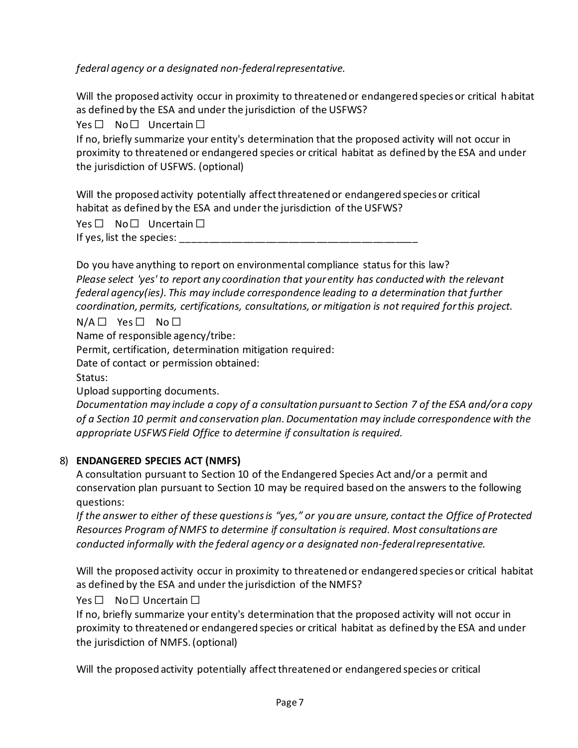*federal agency or a designated non‐federal representative.* 

Will the proposed activity occur in proximity to threatened or endangered species or critical habitat as defined by the ESA and under the jurisdiction of the USFWS?

Yes □ No □ Uncertain □

If no, briefly summarize your entity's determination that the proposed activity will not occur in proximity to threatened or endangered species or critical habitat as defined by the ESA and under the jurisdiction of USFWS. (optional)

Will the proposed activity potentially affect threatened or endangered species or critical habitat as defined by the ESA and under the jurisdiction of the USFWS?

Yes □ No □ Uncertain □

If yes, list the species: \_\_\_\_\_

Do you have anything to report on environmental compliance status for this law? *Please select 'yes' to report any coordination that your entity has conducted with the relevant federal agency(ies). This may include correspondence leading to a determination that further coordination, permits, certifications, consultations, or mitigation is not required for this project.*

 $N/A \Box$  Yes  $\Box$  No  $\Box$ 

Name of responsible agency/tribe:

Permit, certification, determination mitigation required:

Date of contact or permission obtained:

Status:

Upload supporting documents.

*Documentation may include a copy of a consultation pursuant to Section 7 of the ESA and/or a copy of a Section 10 permit and conservation plan. Documentation may include correspondence with the appropriate USFWS Field Office to determine if consultation is required.*

### 8) **ENDANGERED SPECIES ACT (NMFS)**

A consultation pursuant to Section 10 of the Endangered Species Act and/or a permit and conservation plan pursuant to Section 10 may be required based on the answers to the following questions:

*If the answer to either of these questions is "yes," or you are unsure, contact the Office of Protected Resources Program of NMFS to determine if consultation is required. Most consultations are conducted informally with the federal agency or a designated non‐federal representative.* 

Will the proposed activity occur in proximity to threatened or endangered species or critical habitat as defined by the ESA and under the jurisdiction of the NMFS?

# Yes □ No □ Uncertain □

If no, briefly summarize your entity's determination that the proposed activity will not occur in proximity to threatened or endangered species or critical habitat as defined by the ESA and under the jurisdiction of NMFS. (optional)

Will the proposed activity potentially affect threatened or endangered species or critical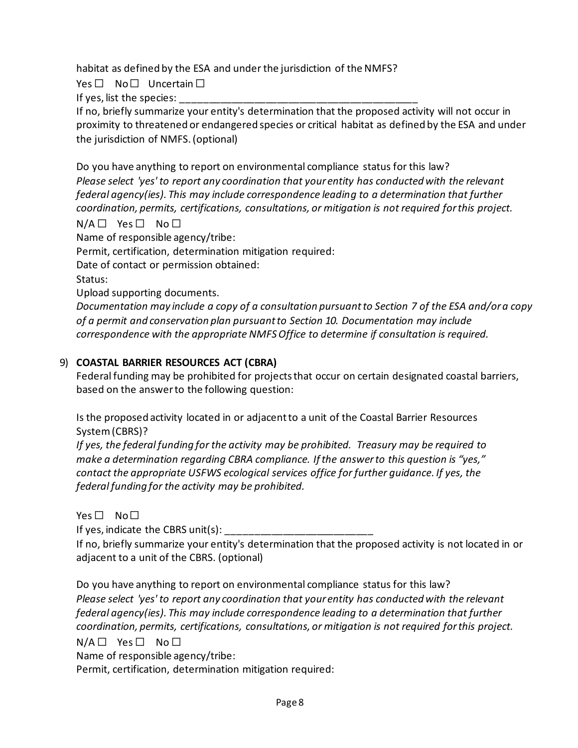habitat as defined by the ESA and under the jurisdiction of the NMFS?

Yes □ No □ Uncertain □

If yes, list the species:

If no, briefly summarize your entity's determination that the proposed activity will not occur in proximity to threatened or endangered species or critical habitat as defined by the ESA and under the jurisdiction of NMFS. (optional)

Do you have anything to report on environmental compliance status for this law? *Please select 'yes' to report any coordination that your entity has conducted with the relevant federal agency(ies). This may include correspondence leading to a determination that further coordination, permits, certifications, consultations, or mitigation is not required for this project.*

N/A □ Yes □ No □

Name of responsible agency/tribe:

Permit, certification, determination mitigation required:

Date of contact or permission obtained:

Status:

Upload supporting documents.

*Documentation may include a copy of a consultation pursuant to Section 7 of the ESA and/or a copy of a permit and conservation plan pursuant to Section 10. Documentation may include correspondence with the appropriate NMFS Office to determine if consultation is required.*

## 9) **COASTAL BARRIER RESOURCES ACT (CBRA)**

Federal funding may be prohibited for projects that occur on certain designated coastal barriers, based on the answer to the following question:

Is the proposed activity located in or adjacent to a unit of the Coastal Barrier Resources System (CBRS)?

*If yes, the federal funding for the activity may be prohibited. Treasury may be required to make a determination regarding CBRA compliance. If the answer to this question is "yes," contact the appropriate USFWS ecological services office for further guidance. If yes, the federal funding for the activity may be prohibited.*

# Yes □ No □

If yes, indicate the CBRS unit(s):

If no, briefly summarize your entity's determination that the proposed activity is not located in or adjacent to a unit of the CBRS. (optional)

Do you have anything to report on environmental compliance status for this law? *Please select 'yes' to report any coordination that your entity has conducted with the relevant federal agency(ies). This may include correspondence leading to a determination that further coordination, permits, certifications, consultations, or mitigation is not required for this project.*

 $N/A \Box$  Yes  $\Box$  No  $\Box$ 

Name of responsible agency/tribe:

Permit, certification, determination mitigation required: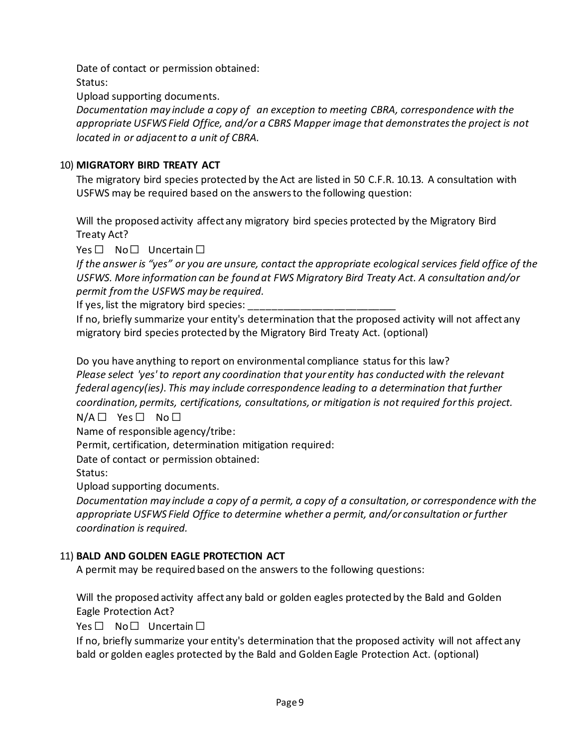Date of contact or permission obtained:

Status:

Upload supporting documents.

*Documentation may include a copy of an exception to meeting CBRA, correspondence with the appropriate USFWS Field Office, and/or a CBRS Mapper image that demonstrates the project is not located in or adjacent to a unit of CBRA.*

# 10) **MIGRATORY BIRD TREATY ACT**

The migratory bird species protected by the Act are listed in 50 C.F.R. 10.13. A consultation with USFWS may be required based on the answers to the following question:

Will the proposed activity affect any migratory bird species protected by the Migratory Bird Treaty Act?

Yes □ No □ Uncertain □

*If the answer is "yes" or you are unsure, contact the appropriate ecological services field office of the USFWS. More information can be found at FWS Migratory Bird Treaty Act. A consultation and/or permit from the USFWS may be required.*

If yes, list the migratory bird species:

If no, briefly summarize your entity's determination that the proposed activity will not affect any migratory bird species protected by the Migratory Bird Treaty Act. (optional)

Do you have anything to report on environmental compliance status for this law? *Please select 'yes' to report any coordination that your entity has conducted with the relevant federal agency(ies). This may include correspondence leading to a determination that further coordination, permits, certifications, consultations, or mitigation is not required for this project.*

 $N/A \Box$  Yes  $\Box$  No  $\Box$ 

Name of responsible agency/tribe:

Permit, certification, determination mitigation required:

Date of contact or permission obtained:

Status:

Upload supporting documents.

*Documentation may include a copy of a permit, a copy of a consultation, or correspondence with the appropriate USFWS Field Office to determine whether a permit, and/or consultation or further coordination is required.*

# 11) **BALD AND GOLDEN EAGLE PROTECTION ACT**

A permit may be required based on the answers to the following questions:

Will the proposed activity affect any bald or golden eagles protected by the Bald and Golden Eagle Protection Act?

Yes □ No □ Uncertain □

If no, briefly summarize your entity's determination that the proposed activity will not affect any bald or golden eagles protected by the Bald and Golden Eagle Protection Act. (optional)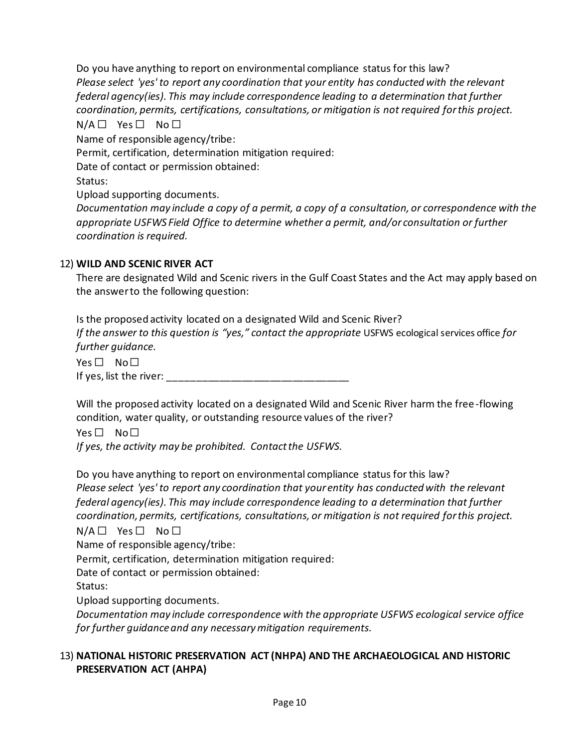Do you have anything to report on environmental compliance status for this law? *Please select 'yes' to report any coordination that your entity has conducted with the relevant federal agency(ies). This may include correspondence leading to a determination that further coordination, permits, certifications, consultations, or mitigation is not required for this project.*  $N/A \Box$  Yes  $\Box$  No  $\Box$ Name of responsible agency/tribe: Permit, certification, determination mitigation required:

Date of contact or permission obtained:

Status:

Upload supporting documents.

*Documentation may include a copy of a permit, a copy of a consultation, or correspondence with the appropriate USFWS Field Office to determine whether a permit, and/or consultation or further coordination is required.*

# 12) **WILD AND SCENIC RIVER ACT**

There are designated Wild and Scenic rivers in the Gulf Coast States and the Act may apply based on the answer to the following question:

Is the proposed activity located on a designated Wild and Scenic River? *If the answer to this question is "yes," contact the appropriate USFWS ecological services office for further guidance.*

Yes □ No □ If yes, list the river:  $\blacksquare$ 

Will the proposed activity located on a designated Wild and Scenic River harm the free-flowing condition, water quality, or outstanding resource values of the river?

Yes □ No □

*If yes, the activity may be prohibited. Contact the USFWS.*

Do you have anything to report on environmental compliance status for this law? *Please select 'yes' to report any coordination that your entity has conducted with the relevant federal agency(ies). This may include correspondence leading to a determination that further coordination, permits, certifications, consultations, or mitigation is not required for this project.*  $N/A \Box$  Yes  $\Box$  No  $\Box$ 

Name of responsible agency/tribe:

Permit, certification, determination mitigation required:

Date of contact or permission obtained:

Status:

Upload supporting documents.

*Documentation may include correspondence with the appropriate USFWS ecological service office for further guidance and any necessary mitigation requirements.*

### 13) **NATIONAL HISTORIC PRESERVATION ACT (NHPA) AND THE ARCHAEOLOGICAL AND HISTORIC PRESERVATION ACT (AHPA)**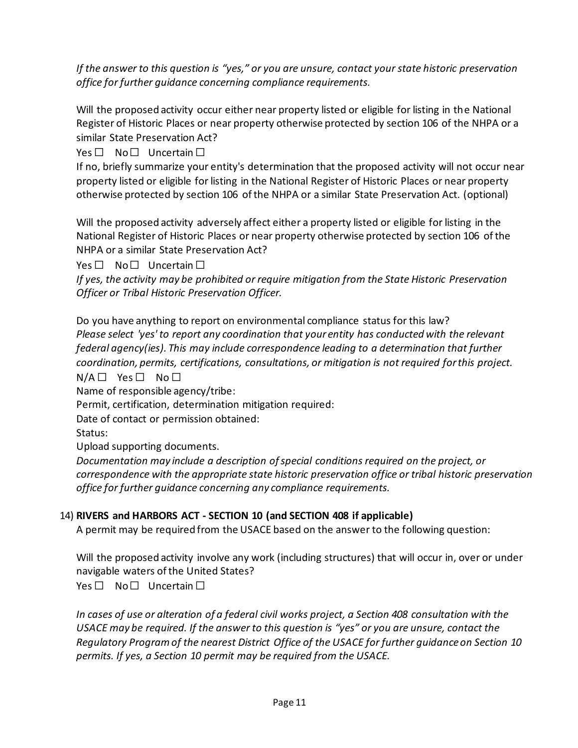*If the answer to this question is "yes," or you are unsure, contact your state historic preservation office for further guidance concerning compliance requirements.*

Will the proposed activity occur either near property listed or eligible for listing in the National Register of Historic Places or near property otherwise protected by section 106 of the NHPA or a similar State Preservation Act?

Yes □ No □ Uncertain □

If no, briefly summarize your entity's determination that the proposed activity will not occur near property listed or eligible for listing in the National Register of Historic Places or near property otherwise protected by section 106 of the NHPA or a similar State Preservation Act. (optional)

Will the proposed activity adversely affect either a property listed or eligible for listing in the National Register of Historic Places or near property otherwise protected by section 106 of the NHPA or a similar State Preservation Act?

Yes □ No□ Uncertain □

*If yes, the activity may be prohibited or require mitigation from the State Historic Preservation Officer or Tribal Historic Preservation Officer.*

Do you have anything to report on environmental compliance status for this law? *Please select 'yes' to report any coordination that your entity has conducted with the relevant federal agency(ies). This may include correspondence leading to a determination that further coordination, permits, certifications, consultations, or mitigation is not required for this project.* N/A □ Yes □ No □

Name of responsible agency/tribe:

Permit, certification, determination mitigation required:

Date of contact or permission obtained:

Status:

Upload supporting documents.

*Documentation may include a description of special conditions required on the project, or correspondence with the appropriate state historic preservation office or tribal historic preservation office for further guidance concerning any compliance requirements.*

# 14) **RIVERS and HARBORS ACT - SECTION 10 (and SECTION 408 if applicable)**

A permit may be required from the USACE based on the answer to the following question:

Will the proposed activity involve any work (including structures) that will occur in, over or under navigable waters of the United States?

Yes □ No □ Uncertain □

*In cases of use or alteration of a federal civil works project, a Section 408 consultation with the USACE may be required. If the answer to this question is "yes" or you are unsure, contact the Regulatory Program of the nearest District Office of the USACE for further guidance on Section 10 permits. If yes, a Section 10 permit may be required from the USACE.*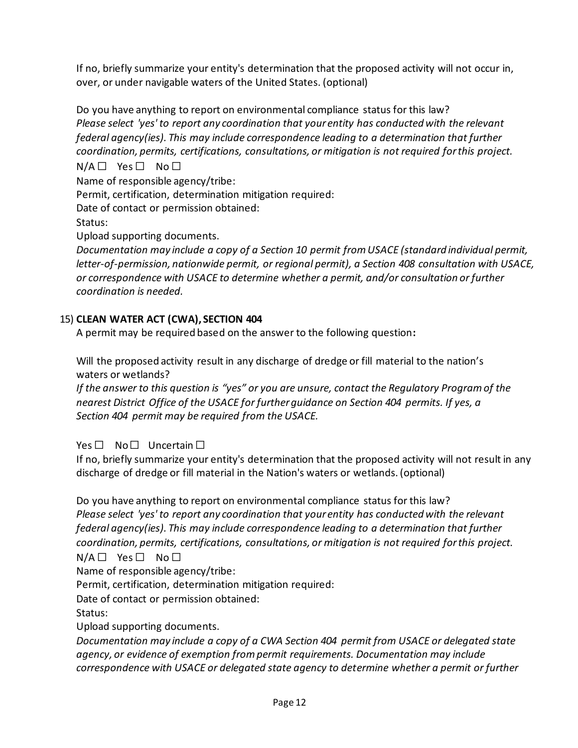If no, briefly summarize your entity's determination that the proposed activity will not occur in, over, or under navigable waters of the United States. (optional)

Do you have anything to report on environmental compliance status for this law? *Please select 'yes' to report any coordination that your entity has conducted with the relevant federal agency(ies). This may include correspondence leading to a determination that further coordination, permits, certifications, consultations, or mitigation is not required for this project.*

 $N/A \Box$  Yes  $\Box$  No  $\Box$ 

Name of responsible agency/tribe:

Permit, certification, determination mitigation required:

Date of contact or permission obtained:

Status:

Upload supporting documents.

*Documentation may include a copy of a Section 10 permit from USACE (standard individual permit, letter-of-permission, nationwide permit, or regional permit), a Section 408 consultation with USACE, or correspondence with USACE to determine whether a permit, and/or consultation or further coordination is needed.*

## 15) **CLEAN WATER ACT (CWA), SECTION 404**

A permit may be required based on the answer to the following question**:**

Will the proposed activity result in any discharge of dredge or fill material to the nation's waters or wetlands?

*If the answer to this question is "yes" or you are unsure, contact the Regulatory Program of the nearest District Office of the USACE for further guidance on Section 404 permits. If yes, a Section 404 permit may be required from the USACE.*

Yes □ No □ Uncertain □

If no, briefly summarize your entity's determination that the proposed activity will not result in any discharge of dredge or fill material in the Nation's waters or wetlands. (optional)

Do you have anything to report on environmental compliance status for this law? *Please select 'yes' to report any coordination that your entity has conducted with the relevant federal agency(ies). This may include correspondence leading to a determination that further coordination, permits, certifications, consultations, or mitigation is not required for this project.*

 $N/A \Box$  Yes  $\Box$  No  $\Box$ 

Name of responsible agency/tribe:

Permit, certification, determination mitigation required:

Date of contact or permission obtained:

Status:

Upload supporting documents.

*Documentation may include a copy of a CWA Section 404 permit from USACE or delegated state agency, or evidence of exemption from permit requirements. Documentation may include correspondence with USACE or delegated state agency to determine whether a permit or further*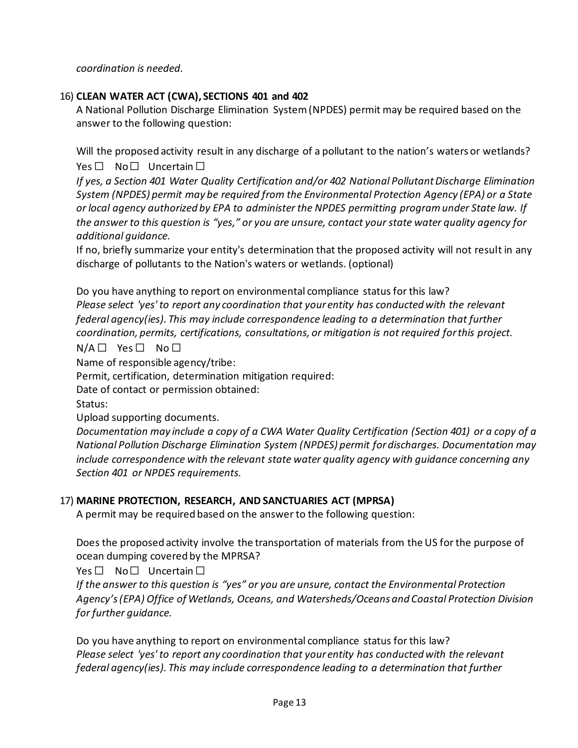*coordination is needed.*

### 16) **CLEAN WATER ACT (CWA), SECTIONS 401 and 402**

A National Pollution Discharge Elimination System (NPDES) permit may be required based on the answer to the following question:

Will the proposed activity result in any discharge of a pollutant to the nation's waters or wetlands? Yes □ No □ Uncertain □

*If yes, a Section 401 Water Quality Certification and/or 402 National Pollutant Discharge Elimination System (NPDES) permit may be required from the Environmental Protection Agency (EPA) or a State or local agency authorized by EPA to administer the NPDES permitting program under State law. If the answer to this question is "yes," or you are unsure, contact your state water quality agency for additional guidance.* 

If no, briefly summarize your entity's determination that the proposed activity will not result in any discharge of pollutants to the Nation's waters or wetlands. (optional)

Do you have anything to report on environmental compliance status for this law? *Please select 'yes' to report any coordination that your entity has conducted with the relevant federal agency(ies). This may include correspondence leading to a determination that further coordination, permits, certifications, consultations, or mitigation is not required for this project.*

# $N/A \Box$  Yes  $\Box$  No  $\Box$

Name of responsible agency/tribe:

Permit, certification, determination mitigation required:

Date of contact or permission obtained:

Status:

Upload supporting documents.

*Documentation may include a copy of a CWA Water Quality Certification (Section 401) or a copy of a National Pollution Discharge Elimination System (NPDES) permit for discharges. Documentation may include correspondence with the relevant state water quality agency with guidance concerning any Section 401 or NPDES requirements.*

# 17) **MARINE PROTECTION, RESEARCH, AND SANCTUARIES ACT (MPRSA)**

A permit may be required based on the answer to the following question:

Does the proposed activity involve the transportation of materials from the US for the purpose of ocean dumping covered by the MPRSA?

Yes □ No□ Uncertain □

*If the answer to this question is "yes" or you are unsure, contact the Environmental Protection Agency's (EPA) Office of Wetlands, Oceans, and Watersheds/Oceans and Coastal Protection Division for further guidance.* 

Do you have anything to report on environmental compliance status for this law? *Please select 'yes' to report any coordination that your entity has conducted with the relevant federal agency(ies). This may include correspondence leading to a determination that further*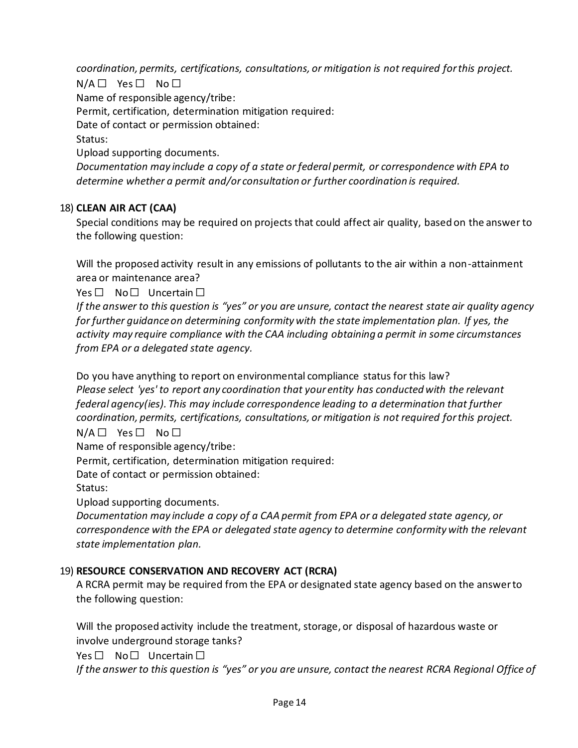*coordination, permits, certifications, consultations, or mitigation is not required for this project.*

 $N/A \Box$  Yes  $\Box$  No  $\Box$ Name of responsible agency/tribe: Permit, certification, determination mitigation required: Date of contact or permission obtained: Status: Upload supporting documents. *Documentation may include a copy of a state or federal permit, or correspondence with EPA to determine whether a permit and/or consultation or further coordination is required.*

### 18) **CLEAN AIR ACT (CAA)**

Special conditions may be required on projects that could affect air quality, based on the answer to the following question:

Will the proposed activity result in any emissions of pollutants to the air within a non-attainment area or maintenance area?

Yes □ No □ Uncertain □

*If the answer to this question is "yes" or you are unsure, contact the nearest state air quality agency for further guidance on determining conformity with the state implementation plan. If yes, the activity may require compliance with the CAA including obtaining a permit in some circumstances from EPA or a delegated state agency.*

Do you have anything to report on environmental compliance status for this law? *Please select 'yes' to report any coordination that your entity has conducted with the relevant federal agency(ies). This may include correspondence leading to a determination that further coordination, permits, certifications, consultations, or mitigation is not required for this project.*

 $N/A \Box$  Yes  $\Box$  No  $\Box$ 

Name of responsible agency/tribe:

Permit, certification, determination mitigation required:

Date of contact or permission obtained:

Status:

Upload supporting documents.

*Documentation may include a copy of a CAA permit from EPA or a delegated state agency, or correspondence with the EPA or delegated state agency to determine conformity with the relevant state implementation plan.*

#### 19) **RESOURCE CONSERVATION AND RECOVERY ACT (RCRA)**

A RCRA permit may be required from the EPA or designated state agency based on the answer to the following question:

Will the proposed activity include the treatment, storage, or disposal of hazardous waste or involve underground storage tanks?

Yes □ No □ Uncertain □

*If the answer to this question is "yes" or you are unsure, contact the nearest RCRA Regional Office of*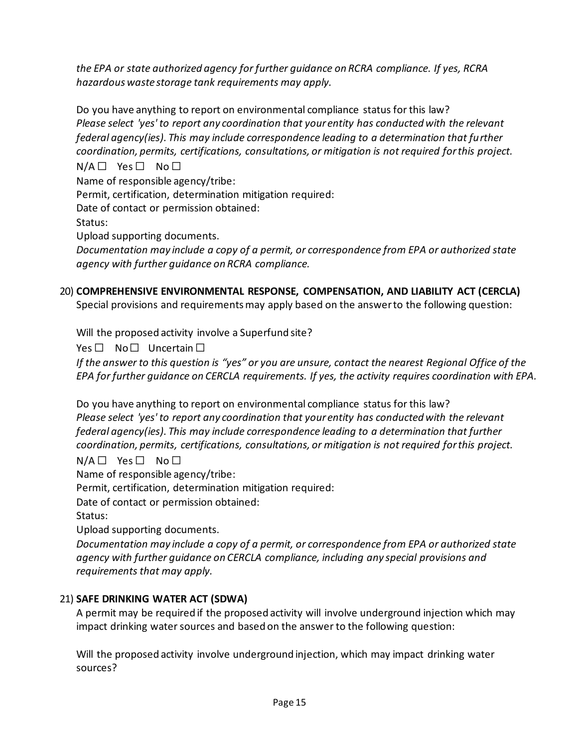*the EPA or state authorized agency for further guidance on RCRA compliance. If yes, RCRA hazardous waste storage tank requirements may apply.*

Do you have anything to report on environmental compliance status for this law? *Please select 'yes' to report any coordination that your entity has conducted with the relevant federal agency(ies). This may include correspondence leading to a determination that further coordination, permits, certifications, consultations, or mitigation is not required for this project.*  $N/A \Box$  Yes  $\Box$  No  $\Box$ Name of responsible agency/tribe: Permit, certification, determination mitigation required: Date of contact or permission obtained: Status: Upload supporting documents. *Documentation may include a copy of a permit, or correspondence from EPA or authorized state agency with further guidance on RCRA compliance.*

# 20) **COMPREHENSIVE ENVIRONMENTAL RESPONSE, COMPENSATION, AND LIABILITY ACT (CERCLA)**

Special provisions and requirements may apply based on the answer to the following question:

Will the proposed activity involve a Superfund site?

Yes □ No□ Uncertain □

*If the answer to this question is "yes" or you are unsure, contact the nearest Regional Office of the EPA for further guidance on CERCLA requirements. If yes, the activity requires coordination with EPA.*

Do you have anything to report on environmental compliance status for this law? *Please select 'yes' to report any coordination that your entity has conducted with the relevant federal agency(ies). This may include correspondence leading to a determination that further coordination, permits, certifications, consultations, or mitigation is not required for this project.*

#### $N/A \Box$  Yes  $\Box$  No  $\Box$

Name of responsible agency/tribe:

Permit, certification, determination mitigation required:

Date of contact or permission obtained:

Status:

Upload supporting documents.

*Documentation may include a copy of a permit, or correspondence from EPA or authorized state agency with further guidance on CERCLA compliance, including any special provisions and requirements that may apply.*

### 21) **SAFE DRINKING WATER ACT (SDWA)**

A permit may be required if the proposed activity will involve underground injection which may impact drinking water sources and based on the answer to the following question:

Will the proposed activity involve underground injection, which may impact drinking water sources?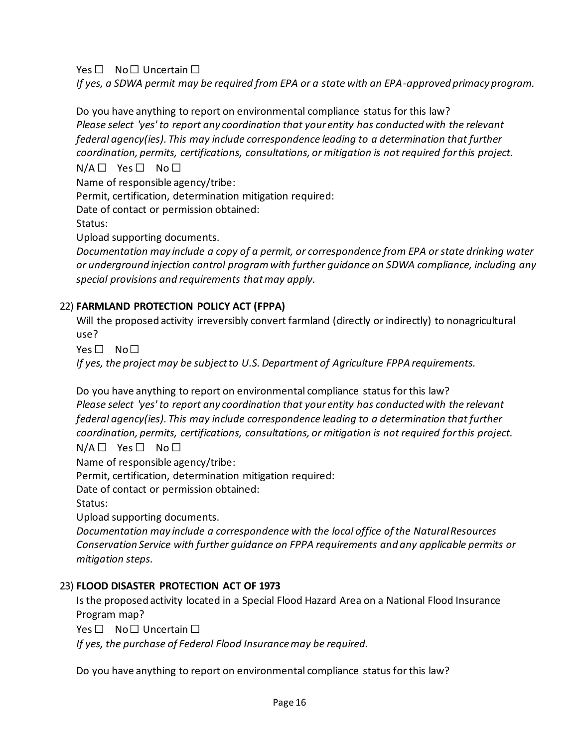Yes □ No □ Uncertain □

*If yes, a SDWA permit may be required from EPA or a state with an EPA-approved primacy program.*

Do you have anything to report on environmental compliance status for this law? *Please select 'yes' to report any coordination that your entity has conducted with the relevant federal agency(ies). This may include correspondence leading to a determination that further coordination, permits, certifications, consultations, or mitigation is not required for this project.*  $N/A \Box$  Yes  $\Box$  No  $\Box$ 

Name of responsible agency/tribe:

Permit, certification, determination mitigation required:

Date of contact or permission obtained:

Status:

Upload supporting documents.

*Documentation may include a copy of a permit, or correspondence from EPA or state drinking water or underground injection control program with further guidance on SDWA compliance, including any special provisions and requirements that may apply.*

## 22) **FARMLAND PROTECTION POLICY ACT (FPPA)**

Will the proposed activity irreversibly convert farmland (directly or indirectly) to nonagricultural use?

Yes □ No□

*If yes, the project may be subject to U.S. Department of Agriculture FPPA requirements.*

Do you have anything to report on environmental compliance status for this law? *Please select 'yes' to report any coordination that your entity has conducted with the relevant federal agency(ies). This may include correspondence leading to a determination that further coordination, permits, certifications, consultations, or mitigation is not required for this project.*

 $N/A \Box$  Yes  $\Box$  No  $\Box$ 

Name of responsible agency/tribe:

Permit, certification, determination mitigation required:

Date of contact or permission obtained:

Status:

Upload supporting documents.

*Documentation may include a correspondence with the local office of the Natural Resources Conservation Service with further guidance on FPPA requirements and any applicable permits or mitigation steps.*

### 23) **FLOOD DISASTER PROTECTION ACT OF 1973**

Is the proposed activity located in a Special Flood Hazard Area on a National Flood Insurance Program map?

Yes □ No □ Uncertain □

*If yes, the purchase of Federal Flood Insurance may be required.*

Do you have anything to report on environmental compliance status for this law?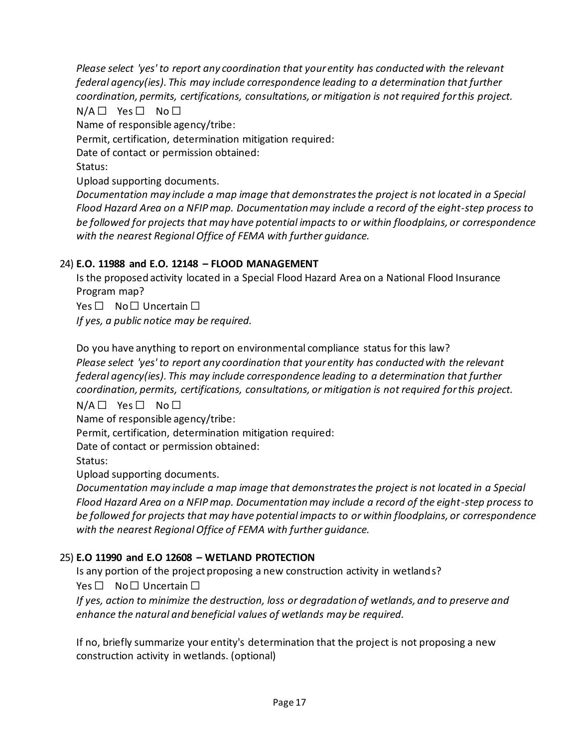*Please select 'yes' to report any coordination that your entity has conducted with the relevant federal agency(ies). This may include correspondence leading to a determination that further coordination, permits, certifications, consultations, or mitigation is not required for this project.*

 $N/A \Box$  Yes  $\Box$  No  $\Box$ 

Name of responsible agency/tribe:

Permit, certification, determination mitigation required:

Date of contact or permission obtained:

Status:

Upload supporting documents.

*Documentation may include a map image that demonstrates the project is not located in a Special Flood Hazard Area on a NFIP map. Documentation may include a record of the eight-step process to be followed for projects that may have potential impacts to or within floodplains, or correspondence with the nearest Regional Office of FEMA with further guidance.*

## 24) **E.O. 11988 and E.O. 12148 – FLOOD MANAGEMENT**

Is the proposed activity located in a Special Flood Hazard Area on a National Flood Insurance Program map?

Yes □ No □ Uncertain □

*If yes, a public notice may be required.*

Do you have anything to report on environmental compliance status for this law? *Please select 'yes' to report any coordination that your entity has conducted with the relevant federal agency(ies). This may include correspondence leading to a determination that further coordination, permits, certifications, consultations, or mitigation is not required for this project.*

 $N/A \Box$  Yes  $\Box$  No  $\Box$ 

Name of responsible agency/tribe:

Permit, certification, determination mitigation required:

Date of contact or permission obtained:

Status:

Upload supporting documents.

*Documentation may include a map image that demonstrates the project is not located in a Special Flood Hazard Area on a NFIP map. Documentation may include a record of the eight-step process to be followed for projects that may have potential impacts to or within floodplains, or correspondence with the nearest Regional Office of FEMA with further guidance.*

### 25) **E.O 11990 and E.O 12608 – WETLAND PROTECTION**

Is any portion of the project proposing a new construction activity in wetlands?

Yes □ No □ Uncertain □

*If yes, action to minimize the destruction, loss or degradation of wetlands, and to preserve and enhance the natural and beneficial values of wetlands may be required.*

If no, briefly summarize your entity's determination that the project is not proposing a new construction activity in wetlands. (optional)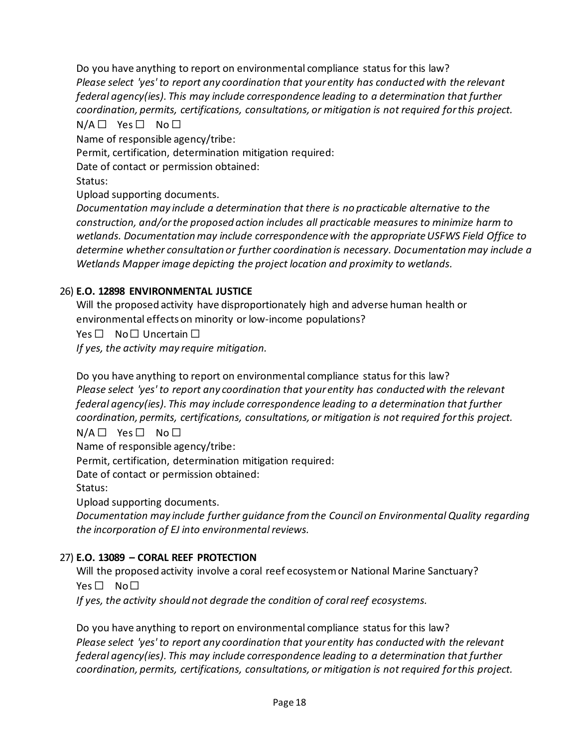Do you have anything to report on environmental compliance status for this law? *Please select 'yes' to report any coordination that your entity has conducted with the relevant federal agency(ies). This may include correspondence leading to a determination that further coordination, permits, certifications, consultations, or mitigation is not required for this project.*  $N/A \Box$  Yes  $\Box$  No  $\Box$ 

Name of responsible agency/tribe:

Permit, certification, determination mitigation required:

Date of contact or permission obtained:

Status:

Upload supporting documents.

*Documentation may include a determination that there is no practicable alternative to the construction, and/or the proposed action includes all practicable measures to minimize harm to wetlands. Documentation may include correspondence with the appropriate USFWS Field Office to determine whether consultation or further coordination is necessary. Documentation may include a Wetlands Mapper image depicting the project location and proximity to wetlands.*

## 26) **E.O. 12898 ENVIRONMENTAL JUSTICE**

Will the proposed activity have disproportionately high and adverse human health or environmental effects on minority or low‐income populations?

Yes □ No □ Uncertain □

*If yes, the activity may require mitigation.*

Do you have anything to report on environmental compliance status for this law? *Please select 'yes' to report any coordination that your entity has conducted with the relevant federal agency(ies). This may include correspondence leading to a determination that further coordination, permits, certifications, consultations, or mitigation is not required for this project.*

 $N/A \Box$  Yes  $\Box$  No  $\Box$ 

Name of responsible agency/tribe:

Permit, certification, determination mitigation required:

Date of contact or permission obtained:

Status:

Upload supporting documents.

*Documentation may include further guidance from the Council on Environmental Quality regarding the incorporation of EJ into environmental reviews.*

### 27) **E.O. 13089 – CORAL REEF PROTECTION**

Will the proposed activity involve a coral reef ecosystem or National Marine Sanctuary? Yes □ No□

*If yes, the activity should not degrade the condition of coral reef ecosystems.*

Do you have anything to report on environmental compliance status for this law? *Please select 'yes' to report any coordination that your entity has conducted with the relevant federal agency(ies). This may include correspondence leading to a determination that further coordination, permits, certifications, consultations, or mitigation is not required for this project.*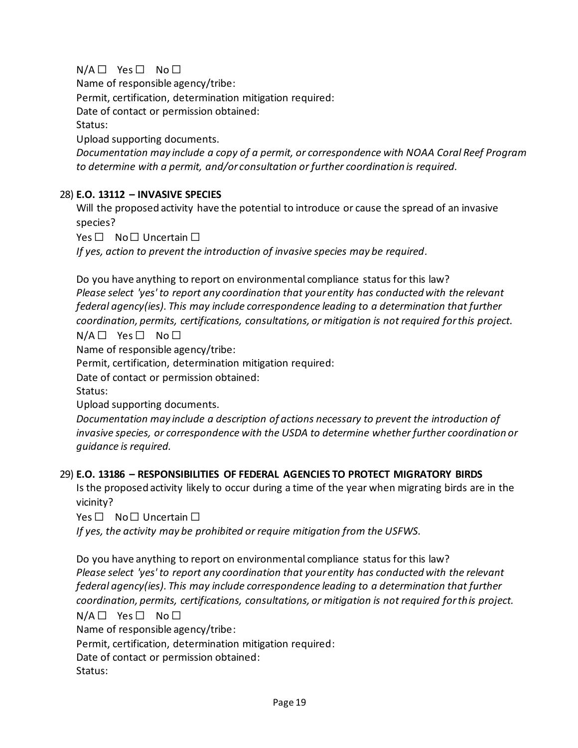# $N/A \Box$  Yes  $\Box$  No  $\Box$

Name of responsible agency/tribe:

Permit, certification, determination mitigation required:

Date of contact or permission obtained:

Status:

Upload supporting documents.

*Documentation may include a copy of a permit, or correspondence with NOAA Coral Reef Program to determine with a permit, and/or consultation or further coordination is required.*

## 28) **E.O. 13112 – INVASIVE SPECIES**

Will the proposed activity have the potential to introduce or cause the spread of an invasive species?

 $Yes \Box No \Box Uncertain \Box$ 

*If yes, action to prevent the introduction of invasive species may be required.* 

Do you have anything to report on environmental compliance status for this law? *Please select 'yes' to report any coordination that your entity has conducted with the relevant federal agency(ies). This may include correspondence leading to a determination that further coordination, permits, certifications, consultations, or mitigation is not required for this project.*

 $N/A \Box$  Yes  $\Box$  No  $\Box$ 

Name of responsible agency/tribe:

Permit, certification, determination mitigation required:

Date of contact or permission obtained:

Status:

Upload supporting documents.

*Documentation may include a description of actions necessary to prevent the introduction of invasive species, or correspondence with the USDA to determine whether further coordination or guidance is required.*

### 29) **E.O. 13186 – RESPONSIBILITIES OF FEDERAL AGENCIES TO PROTECT MIGRATORY BIRDS**

Is the proposed activity likely to occur during a time of the year when migrating birds are in the vicinity?

Yes □ No □ Uncertain □

*If yes, the activity may be prohibited or require mitigation from the USFWS.*

Do you have anything to report on environmental compliance status for this law? *Please select 'yes' to report any coordination that your entity has conducted with the relevant federal agency(ies). This may include correspondence leading to a determination that further coordination, permits, certifications, consultations, or mitigation is not required for this project.*

 $N/A \Box$  Yes  $\Box$  No  $\Box$ 

Name of responsible agency/tribe:

Permit, certification, determination mitigation required:

Date of contact or permission obtained:

Status: